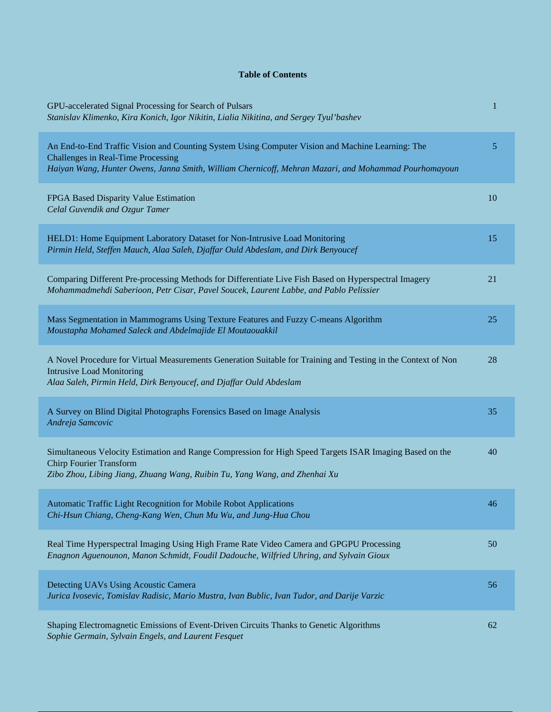## **Table of Contents**

| GPU-accelerated Signal Processing for Search of Pulsars<br>Stanislav Klimenko, Kira Konich, Igor Nikitin, Lialia Nikitina, and Sergey Tyul'bashev                                                                                                     | 1  |
|-------------------------------------------------------------------------------------------------------------------------------------------------------------------------------------------------------------------------------------------------------|----|
| An End-to-End Traffic Vision and Counting System Using Computer Vision and Machine Learning: The<br><b>Challenges in Real-Time Processing</b><br>Haiyan Wang, Hunter Owens, Janna Smith, William Chernicoff, Mehran Mazari, and Mohammad Pourhomayoun | 5  |
| FPGA Based Disparity Value Estimation<br>Celal Guvendik and Ozgur Tamer                                                                                                                                                                               | 10 |
| HELD1: Home Equipment Laboratory Dataset for Non-Intrusive Load Monitoring<br>Pirmin Held, Steffen Mauch, Alaa Saleh, Djaffar Ould Abdeslam, and Dirk Benyoucef                                                                                       | 15 |
| Comparing Different Pre-processing Methods for Differentiate Live Fish Based on Hyperspectral Imagery<br>Mohammadmehdi Saberioon, Petr Cisar, Pavel Soucek, Laurent Labbe, and Pablo Pelissier                                                        | 21 |
| Mass Segmentation in Mammograms Using Texture Features and Fuzzy C-means Algorithm<br>Moustapha Mohamed Saleck and Abdelmajide El Moutaouakkil                                                                                                        | 25 |
| A Novel Procedure for Virtual Measurements Generation Suitable for Training and Testing in the Context of Non<br><b>Intrusive Load Monitoring</b><br>Alaa Saleh, Pirmin Held, Dirk Benyoucef, and Djaffar Ould Abdeslam                               | 28 |
| A Survey on Blind Digital Photographs Forensics Based on Image Analysis<br>Andreja Samcovic                                                                                                                                                           | 35 |
| Simultaneous Velocity Estimation and Range Compression for High Speed Targets ISAR Imaging Based on the<br><b>Chirp Fourier Transform</b><br>Zibo Zhou, Libing Jiang, Zhuang Wang, Ruibin Tu, Yang Wang, and Zhenhai Xu                               | 40 |
| Automatic Traffic Light Recognition for Mobile Robot Applications<br>Chi-Hsun Chiang, Cheng-Kang Wen, Chun Mu Wu, and Jung-Hua Chou                                                                                                                   | 46 |
| Real Time Hyperspectral Imaging Using High Frame Rate Video Camera and GPGPU Processing<br>Enagnon Aguenounon, Manon Schmidt, Foudil Dadouche, Wilfried Uhring, and Sylvain Gioux                                                                     | 50 |
| Detecting UAVs Using Acoustic Camera<br>Jurica Ivosevic, Tomislav Radisic, Mario Mustra, Ivan Bublic, Ivan Tudor, and Darije Varzic                                                                                                                   | 56 |
| Shaping Electromagnetic Emissions of Event-Driven Circuits Thanks to Genetic Algorithms<br>Sophie Germain, Sylvain Engels, and Laurent Fesquet                                                                                                        | 62 |